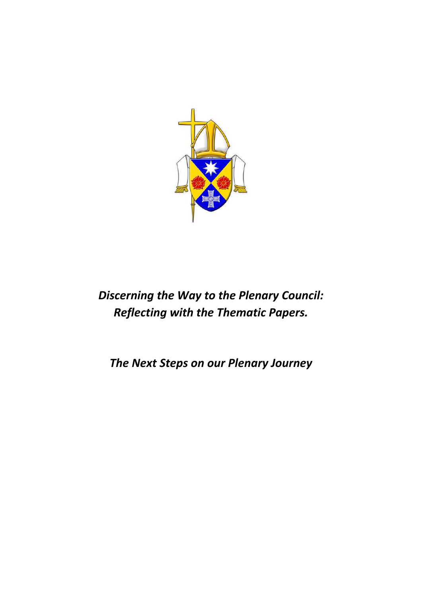

# *Discerning the Way to the Plenary Council: Reflecting with the Thematic Papers.*

*The Next Steps on our Plenary Journey*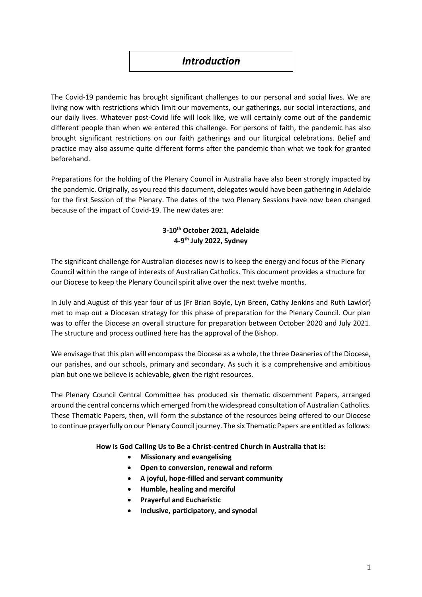### *Introduction*

The Covid-19 pandemic has brought significant challenges to our personal and social lives. We are living now with restrictions which limit our movements, our gatherings, our social interactions, and our daily lives. Whatever post-Covid life will look like, we will certainly come out of the pandemic different people than when we entered this challenge. For persons of faith, the pandemic has also brought significant restrictions on our faith gatherings and our liturgical celebrations. Belief and practice may also assume quite different forms after the pandemic than what we took for granted beforehand.

Preparations for the holding of the Plenary Council in Australia have also been strongly impacted by the pandemic. Originally, as you read this document, delegates would have been gathering in Adelaide for the first Session of the Plenary. The dates of the two Plenary Sessions have now been changed because of the impact of Covid-19. The new dates are:

### **3-10th October 2021, Adelaide 4-9 th July 2022, Sydney**

The significant challenge for Australian dioceses now is to keep the energy and focus of the Plenary Council within the range of interests of Australian Catholics. This document provides a structure for our Diocese to keep the Plenary Council spirit alive over the next twelve months.

In July and August of this year four of us (Fr Brian Boyle, Lyn Breen, Cathy Jenkins and Ruth Lawlor) met to map out a Diocesan strategy for this phase of preparation for the Plenary Council. Our plan was to offer the Diocese an overall structure for preparation between October 2020 and July 2021. The structure and process outlined here has the approval of the Bishop.

We envisage that this plan will encompass the Diocese as a whole, the three Deaneries of the Diocese, our parishes, and our schools, primary and secondary. As such it is a comprehensive and ambitious plan but one we believe is achievable, given the right resources.

The Plenary Council Central Committee has produced six thematic discernment Papers, arranged around the central concerns which emerged from the widespread consultation of Australian Catholics. These Thematic Papers, then, will form the substance of the resources being offered to our Diocese to continue prayerfully on our Plenary Council journey. The six Thematic Papers are entitled as follows:

#### **How is God Calling Us to Be a Christ-centred Church in Australia that is:**

- **Missionary and evangelising**
- **Open to conversion, renewal and reform**
- **A joyful, hope-filled and servant community**
- **Humble, healing and merciful**
- **Prayerful and Eucharistic**
- **Inclusive, participatory, and synodal**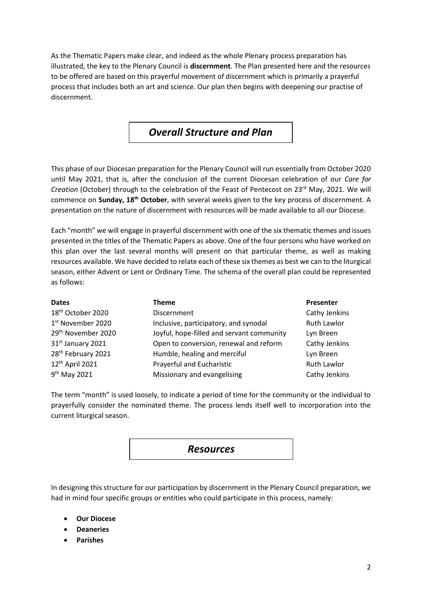As the Thematic Papers make clear, and indeed as the whole Plenary process preparation has illustrated, the key to the Plenary Council is **discernment**. The Plan presented here and the resources to be offered are based on this prayerful movement of discernment which is primarily a prayerful process that includes both an art and science. Our plan then begins with deepening our practise of discernment.

### *Overall Structure and Plan*

This phase of our Diocesan preparation for the Plenary Council will run essentially from October 2020 until May 2021, that is, after the conclusion of the current Diocesan celebration of our *Care for Creation* (October) through to the celebration of the Feast of Pentecost on 23<sup>rd</sup> May, 2021. We will commence on **Sunday, 18th October**, with several weeks given to the key process of discernment. A presentation on the nature of discernment with resources will be made available to all our Diocese.

Each "month" we will engage in prayerful discernment with one of the six thematic themes and issues presented in the titles of the Thematic Papers as above. One of the four persons who have worked on this plan over the last several months will present on that particular theme, as well as making resources available. We have decided to relate each of these six themes as best we can to the liturgical season, either Advent or Lent or Ordinary Time. The schema of the overall plan could be represented as follows:

| <b>Dates</b>                   | <b>Theme</b>                              | Presenter          |
|--------------------------------|-------------------------------------------|--------------------|
| 18 <sup>th</sup> October 2020  | Discernment                               | Cathy Jenkins      |
| 1 <sup>st</sup> November 2020  | Inclusive, participatory, and synodal     | <b>Ruth Lawlor</b> |
| 29 <sup>th</sup> November 2020 | Joyful, hope-filled and servant community | Lyn Breen          |
| 31st January 2021              | Open to conversion, renewal and reform    | Cathy Jenkins      |
| 28 <sup>th</sup> February 2021 | Humble, healing and merciful              | Lyn Breen          |
| 12 <sup>th</sup> April 2021    | Prayerful and Eucharistic                 | <b>Ruth Lawlor</b> |
| 9 <sup>th</sup> May 2021       | Missionary and evangelising               | Cathy Jenkins      |

The term "month" is used loosely, to indicate a period of time for the community or the individual to prayerfully consider the nominated theme. The process lends itself well to incorporation into the current liturgical season.

### *Resources*

In designing this structure for our participation by discernment in the Plenary Council preparation, we had in mind four specific groups or entities who could participate in this process, namely:

- **Our Diocese**
- **Deaneries**
- **Parishes**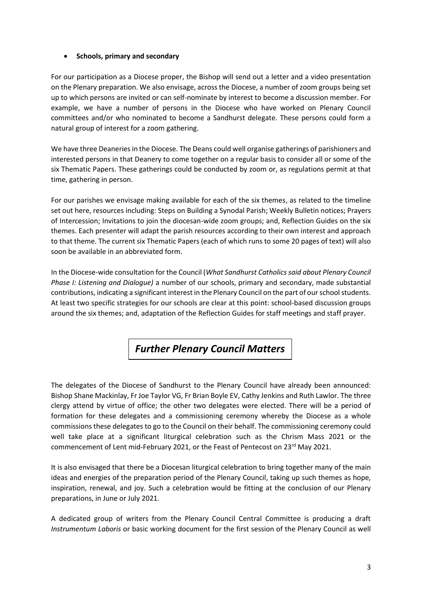#### **Schools, primary and secondary**

For our participation as a Diocese proper, the Bishop will send out a letter and a video presentation on the Plenary preparation. We also envisage, across the Diocese, a number of zoom groups being set up to which persons are invited or can self-nominate by interest to become a discussion member. For example, we have a number of persons in the Diocese who have worked on Plenary Council committees and/or who nominated to become a Sandhurst delegate. These persons could form a natural group of interest for a zoom gathering.

We have three Deaneries in the Diocese. The Deans could well organise gatherings of parishioners and interested persons in that Deanery to come together on a regular basis to consider all or some of the six Thematic Papers. These gatherings could be conducted by zoom or, as regulations permit at that time, gathering in person.

For our parishes we envisage making available for each of the six themes, as related to the timeline set out here, resources including: Steps on Building a Synodal Parish; Weekly Bulletin notices; Prayers of Intercession; Invitations to join the diocesan-wide zoom groups; and, Reflection Guides on the six themes. Each presenter will adapt the parish resources according to their own interest and approach to that theme. The current six Thematic Papers (each of which runs to some 20 pages of text) will also soon be available in an abbreviated form.

In the Diocese-wide consultation for the Council (*What Sandhurst Catholics said about Plenary Council Phase I: Listening and Dialogue)* a number of our schools, primary and secondary, made substantial contributions, indicating a significant interest in the Plenary Council on the part of our school students. At least two specific strategies for our schools are clear at this point: school-based discussion groups around the six themes; and, adaptation of the Reflection Guides for staff meetings and staff prayer.

## *Further Plenary Council Matters*

The delegates of the Diocese of Sandhurst to the Plenary Council have already been announced: Bishop Shane Mackinlay, Fr Joe Taylor VG, Fr Brian Boyle EV, Cathy Jenkins and Ruth Lawlor. The three clergy attend by virtue of office; the other two delegates were elected. There will be a period of formation for these delegates and a commissioning ceremony whereby the Diocese as a whole commissions these delegates to go to the Council on their behalf. The commissioning ceremony could well take place at a significant liturgical celebration such as the Chrism Mass 2021 or the commencement of Lent mid-February 2021, or the Feast of Pentecost on 23<sup>rd</sup> May 2021.

It is also envisaged that there be a Diocesan liturgical celebration to bring together many of the main ideas and energies of the preparation period of the Plenary Council, taking up such themes as hope, inspiration, renewal, and joy. Such a celebration would be fitting at the conclusion of our Plenary preparations, in June or July 2021.

A dedicated group of writers from the Plenary Council Central Committee is producing a draft *Instrumentum Laboris* or basic working document for the first session of the Plenary Council as well